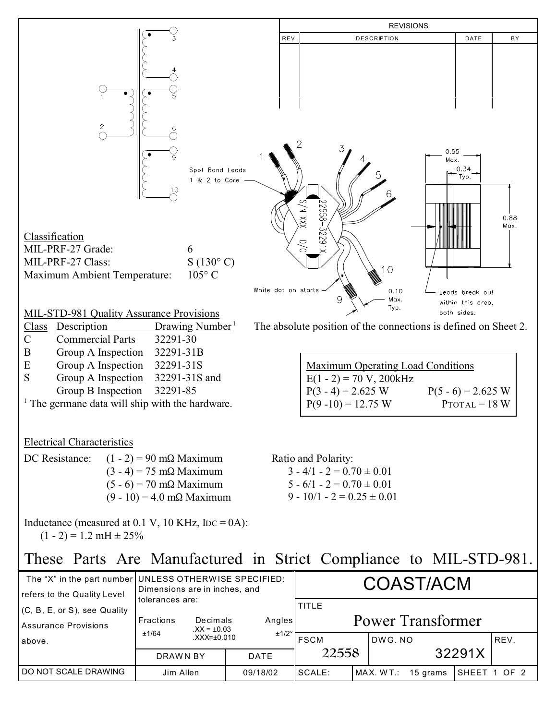

| refers to the Quality Level                          | Dimensions are in inches, and |                             |             |                                          |  |                       |  |              |      |
|------------------------------------------------------|-------------------------------|-----------------------------|-------------|------------------------------------------|--|-----------------------|--|--------------|------|
| (C, B, E, or S), see Quality<br>Assurance Provisions | tolerances are:<br>Fractions  | Decimals<br>$XX = \pm 0.03$ | Angles      | <b>TITLE</b><br><b>Power Transformer</b> |  |                       |  |              |      |
| above.                                               | ±1/64                         | $XXX = \pm 0.010$           | ±1/2°       | <b>FSCM</b>                              |  | DWG, NO               |  |              | REV. |
|                                                      | DRAWN BY                      |                             | <b>DATE</b> | 22558                                    |  | 32291X                |  |              |      |
| DO NOT SCALE DRAWING                                 | Jim Allen                     |                             | 09/18/02    | SCALE:                                   |  | MAX. WT.:<br>15 grams |  | SHEET 1 OF 2 |      |